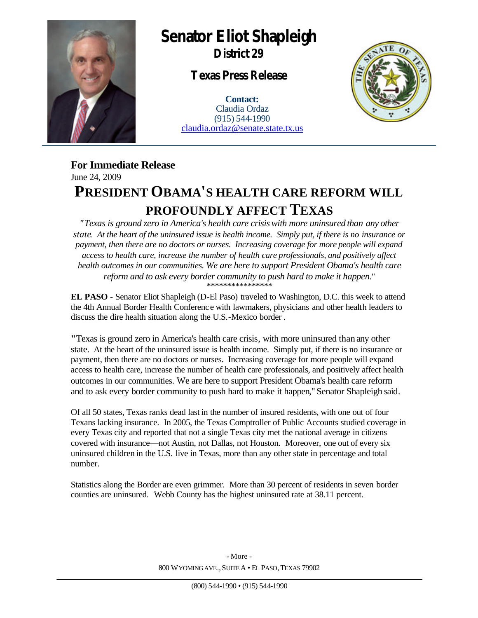

## **Senator Eliot Shapleigh**

**District 29**

**Texas Press Release**

**Contact:** Claudia Ordaz (915) 544-1990 claudia.ordaz@senate.state.tx.us



**For Immediate Release** June 24, 2009

## **PRESIDENT OBAMA'S HEALTH CARE REFORM WILL PROFOUNDLY AFFECT TEXAS**

*"Texas is ground zero in America's health care crisis with more uninsured than any other state. At the heart of the uninsured issue is health income. Simply put, if there is no insurance or payment, then there are no doctors or nurses. Increasing coverage for more people will expand access to health care, increase the number of health care professionals, and positively affect health outcomes in our communities. We are here to support President Obama's health care reform and to ask every border community to push hard to make it happen."* \*\*\*\*\*\*\*\*\*\*\*\*\*\*\*\*

**EL PASO** - Senator Eliot Shapleigh (D-El Paso) traveled to Washington, D.C. this week to attend the 4th Annual Border Health Conferenc e with lawmakers, physicians and other health leaders to discuss the dire health situation along the U.S.-Mexico border .

**"**Texas is ground zero in America's health care crisis, with more uninsured than any other state. At the heart of the uninsured issue is health income. Simply put, if there is no insurance or payment, then there are no doctors or nurses. Increasing coverage for more people will expand access to health care, increase the number of health care professionals, and positively affect health outcomes in our communities. We are here to support President Obama's health care reform and to ask every border community to push hard to make it happen," Senator Shapleigh said.

Of all 50 states, Texas ranks dead last in the number of insured residents, with one out of four Texans lacking insurance. In 2005, the Texas Comptroller of Public Accounts studied coverage in every Texas city and reported that not a single Texas city met the national average in citizens covered with insurance—not Austin, not Dallas, not Houston. Moreover, one out of every six uninsured children in the U.S. live in Texas, more than any other state in percentage and total number.

Statistics along the Border are even grimmer. More than 30 percent of residents in seven border counties are uninsured. Webb County has the highest uninsured rate at 38.11 percent.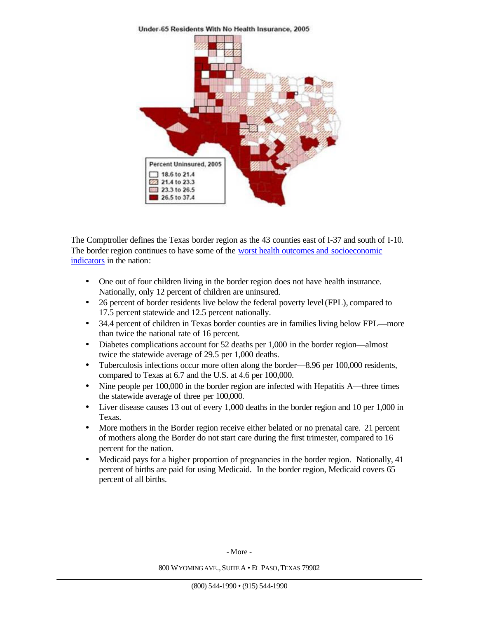Percent Uninsured, 2005  $18.6$  to 21.4 21.4 to 23.3 23.3 to 26.5 26.5 to 37.4

Under-65 Residents With No Health Insurance, 2005

The Comptroller defines the Texas border region as the 43 counties east of I-37 and south of I-10. The border region continues to have some of the worst health outcomes and socioeconomic indicators in the nation:

- One out of four children living in the border region does not have health insurance. Nationally, only 12 percent of children are uninsured.
- 26 percent of border residents live below the federal poverty level (FPL), compared to 17.5 percent statewide and 12.5 percent nationally.
- 34.4 percent of children in Texas border counties are in families living below FPL—more than twice the national rate of 16 percent.
- Diabetes complications account for 52 deaths per 1,000 in the border region—almost twice the statewide average of 29.5 per 1,000 deaths.
- Tuberculosis infections occur more often along the border—8.96 per 100,000 residents, compared to Texas at 6.7 and the U.S. at 4.6 per 100,000.
- Nine people per 100,000 in the border region are infected with Hepatitis A—three times the statewide average of three per 100,000.
- Liver disease causes 13 out of every 1,000 deaths in the border region and 10 per 1,000 in Texas.
- More mothers in the Border region receive either belated or no prenatal care. 21 percent of mothers along the Border do not start care during the first trimester, compared to 16 percent for the nation.
- Medicaid pays for a higher proportion of pregnancies in the border region. Nationally, 41 percent of births are paid for using Medicaid. In the border region, Medicaid covers 65 percent of all births.

- More -

800 WYOMING AVE.,SUITE A • EL PASO,TEXAS 79902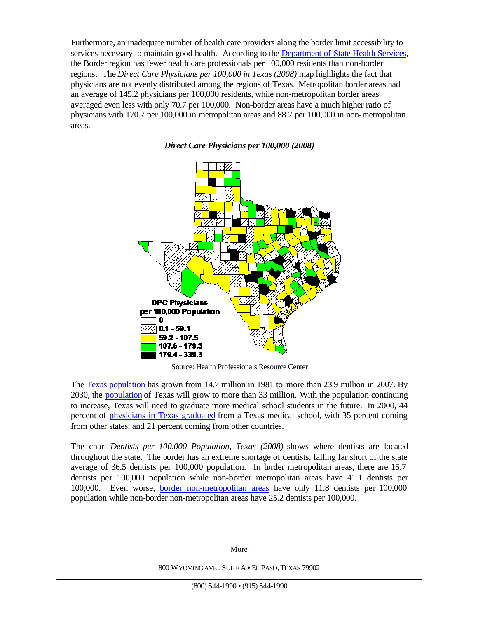Furthermore, an inadequate number of health care providers along the border limit accessibility to services necessary to maintain good health. According to the Department of State Health Services, the Border region has fewer health care professionals per 100,000 residents than non-border regions. The *Direct Care Physicians per 100,000 in Texas (2008)* map highlights the fact that physicians are not evenly distributed among the regions of Texas. Metropolitan border areas had an average of 145.2 physicians per 100,000 residents, while non-metropolitan border areas averaged even less with only 70.7 per 100,000. Non-border areas have a much higher ratio of physicians with 170.7 per 100,000 in metropolitan areas and 88.7 per 100,000 in non-metropolitan areas.

*Direct Care Physicians per 100,000 (2008)*

**DPC Physicians** per 100,000 Population 0  $0.1 - 59.1$ 59.2 - 107.5 107.6 - 179.3

179.4 - 339.3

Source: Health Professionals Resource Center

The Texas population has grown from 14.7 million in 1981 to more than 23.9 million in 2007. By 2030, the population of Texas will grow to more than 33 million. With the population continuing to increase, Texas will need to graduate more medical school students in the future. In 2000, 44 percent of physicians in Texas graduated from a Texas medical school, with 35 percent coming from other states, and 21 percent coming from other countries.

The chart *Dentists per 100,000 Population, Texas (2008)* shows where dentists are located throughout the state. The border has an extreme shortage of dentists, falling far short of the state average of 36.5 dentists per 100,000 population. In border metropolitan areas, there are 15.7 dentists per 100,000 population while non-border metropolitan areas have 41.1 dentists per 100,000. Even worse, border non-metropolitan areas have only 11.8 dentists per 100,000 population while non-border non-metropolitan areas have 25.2 dentists per 100,000.

- More -

800 WYOMING AVE.,SUITE A • EL PASO,TEXAS 79902